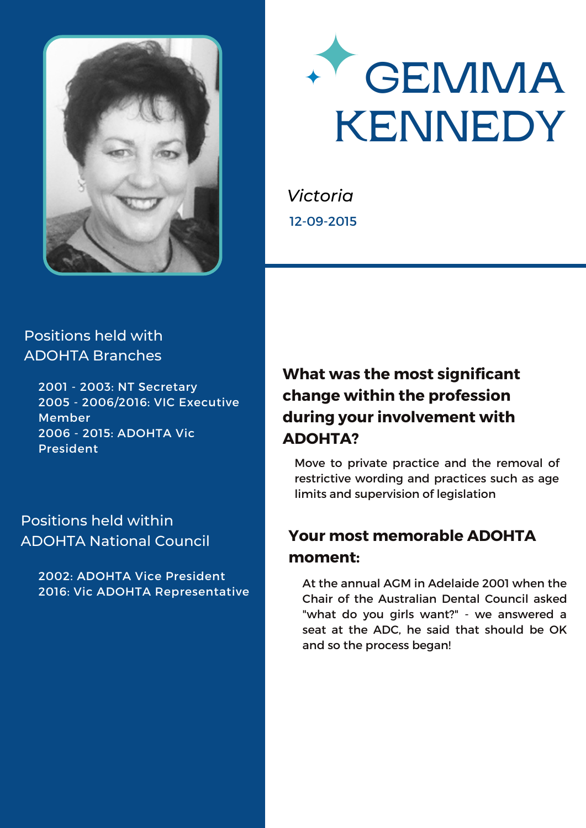



*Victoria* 12-09-2015

#### Positions held with ADOHTA Branches

2001 - 2003: NT Secretary 2005 - 2006/2016: VIC Executive Member 2006 - 2015: ADOHTA Vic President

#### Positions held within ADOHTA National Council

2002: ADOHTA Vice President 2016: Vic ADOHTA Representative

# **What was the most significant change within the profession during your involvement with ADOHTA?**

Move to private practice and the removal of restrictive wording and practices such as age limits and supervision of legislation

# **Your most memorable ADOHTA moment:**

At the annual AGM in Adelaide 2001 when the Chair of the Australian Dental Council asked "what do you girls want?" - we answered a seat at the ADC, he said that should be OK and so the process began!